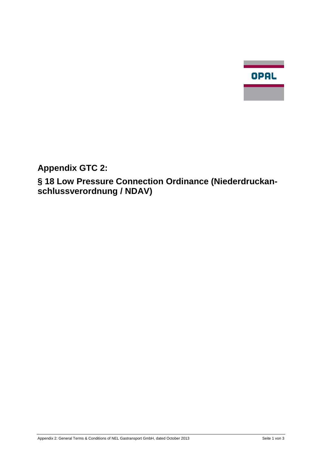

**Appendix GTC 2:**

**§ 18 Low Pressure Connection Ordinance (Niederdruckanschlussverordnung / NDAV)**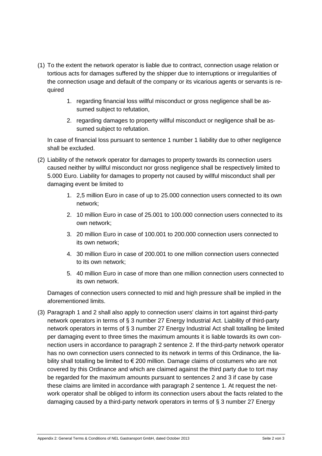- (1) To the extent the network operator is liable due to contract, connection usage relation or tortious acts for damages suffered by the shipper due to interruptions or irregularities of the connection usage and default of the company or its vicarious agents or servants is required
	- 1. regarding financial loss willful misconduct or gross negligence shall be assumed subject to refutation,
	- 2. regarding damages to property willful misconduct or negligence shall be assumed subject to refutation.

In case of financial loss pursuant to sentence 1 number 1 liability due to other negligence shall be excluded.

- (2) Liability of the network operator for damages to property towards its connection users caused neither by willful misconduct nor gross negligence shall be respectively limited to 5.000 Euro. Liability for damages to property not caused by willful misconduct shall per damaging event be limited to
	- 1. 2,5 million Euro in case of up to 25.000 connection users connected to its own network;
	- 2. 10 million Euro in case of 25.001 to 100.000 connection users connected to its own network;
	- 3. 20 million Euro in case of 100.001 to 200.000 connection users connected to its own network;
	- 4. 30 million Euro in case of 200.001 to one million connection users connected to its own network;
	- 5. 40 million Euro in case of more than one million connection users connected to its own network.

Damages of connection users connected to mid and high pressure shall be implied in the aforementioned limits.

(3) Paragraph 1 and 2 shall also apply to connection users' claims in tort against third-party network operators in terms of § 3 number 27 Energy Industrial Act. Liability of third-party network operators in terms of § 3 number 27 Energy Industrial Act shall totalling be limited per damaging event to three times the maximum amounts it is liable towards its own connection users in accordance to paragraph 2 sentence 2. If the third-party network operator has no own connection users connected to its network in terms of this Ordinance, the liability shall totalling be limited to  $\epsilon$  200 million. Damage claims of costumers who are not covered by this Ordinance and which are claimed against the third party due to tort may be regarded for the maximum amounts pursuant to sentences 2 and 3 if case by case these claims are limited in accordance with paragraph 2 sentence 1. At request the network operator shall be obliged to inform its connection users about the facts related to the damaging caused by a third-party network operators in terms of § 3 number 27 Energy